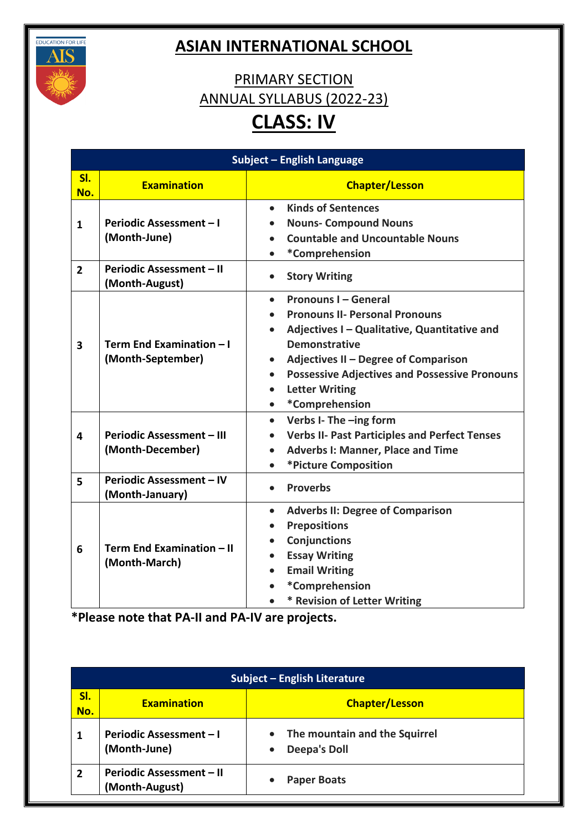

## **ASIAN INTERNATIONAL SCHOOL**

## PRIMARY SECTION ANNUAL SYLLABUS (2022-23) **CLASS: IV**

| Subject - English Language |                                                    |                                                                                                                                                                                                                                                                                                                                                          |
|----------------------------|----------------------------------------------------|----------------------------------------------------------------------------------------------------------------------------------------------------------------------------------------------------------------------------------------------------------------------------------------------------------------------------------------------------------|
| SI.<br>No.                 | <b>Examination</b>                                 | <b>Chapter/Lesson</b>                                                                                                                                                                                                                                                                                                                                    |
| $\mathbf{1}$               | Periodic Assessment - I<br>(Month-June)            | <b>Kinds of Sentences</b><br>$\bullet$<br><b>Nouns- Compound Nouns</b><br>$\bullet$<br><b>Countable and Uncountable Nouns</b><br>$\bullet$<br>*Comprehension<br>$\bullet$                                                                                                                                                                                |
| $\overline{2}$             | Periodic Assessment - II<br>(Month-August)         | <b>Story Writing</b><br>$\bullet$                                                                                                                                                                                                                                                                                                                        |
| 3                          | Term End Examination - I<br>(Month-September)      | <b>Pronouns I - General</b><br>$\bullet$<br><b>Pronouns II- Personal Pronouns</b><br>Adjectives I - Qualitative, Quantitative and<br><b>Demonstrative</b><br>Adjectives II - Degree of Comparison<br>$\bullet$<br><b>Possessive Adjectives and Possessive Pronouns</b><br>$\bullet$<br><b>Letter Writing</b><br>$\bullet$<br>*Comprehension<br>$\bullet$ |
| 4                          | Periodic Assessment - III<br>(Month-December)      | Verbs I- The -ing form<br>$\bullet$<br><b>Verbs II- Past Participles and Perfect Tenses</b><br><b>Adverbs I: Manner, Place and Time</b><br>*Picture Composition<br>$\bullet$                                                                                                                                                                             |
| 5                          | <b>Periodic Assessment - IV</b><br>(Month-January) | <b>Proverbs</b><br>$\bullet$                                                                                                                                                                                                                                                                                                                             |
| 6                          | Term End Examination - II<br>(Month-March)         | <b>Adverbs II: Degree of Comparison</b><br>$\bullet$<br><b>Prepositions</b><br>$\bullet$<br><b>Conjunctions</b><br>$\bullet$<br><b>Essay Writing</b><br>$\bullet$<br><b>Email Writing</b><br>$\bullet$<br>*Comprehension<br>* Revision of Letter Writing                                                                                                 |

|            | Subject - English Literature                      |                                                      |  |
|------------|---------------------------------------------------|------------------------------------------------------|--|
| SI.<br>No. | <b>Examination</b>                                | <b>Chapter/Lesson</b>                                |  |
|            | <b>Periodic Assessment - I</b><br>(Month-June)    | The mountain and the Squirrel<br><b>Deepa's Doll</b> |  |
| 2          | <b>Periodic Assessment - II</b><br>(Month-August) | <b>Paper Boats</b>                                   |  |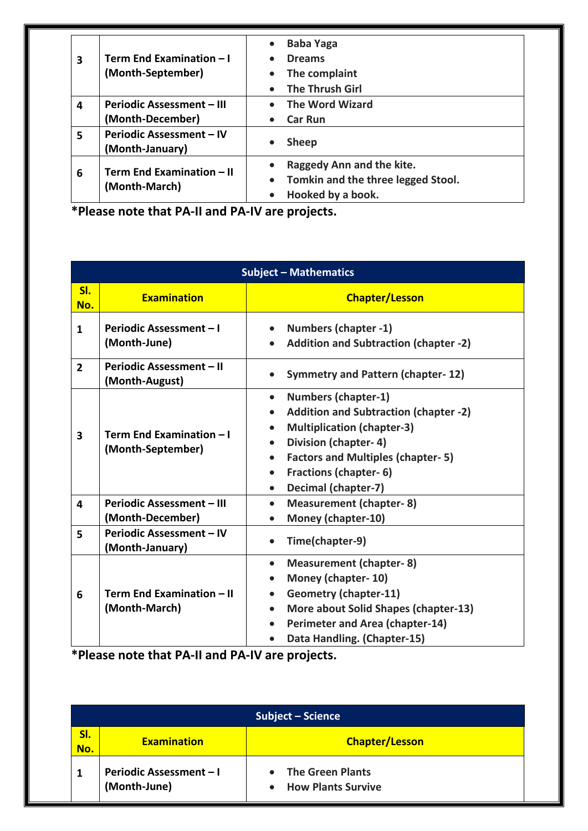| 3 | Term End Examination - I<br>(Month-September)        | <b>Baba Yaga</b><br>$\bullet$<br><b>Dreams</b><br>The complaint<br><b>The Thrush Girl</b>                      |
|---|------------------------------------------------------|----------------------------------------------------------------------------------------------------------------|
| 4 | <b>Periodic Assessment – III</b><br>(Month-December) | <b>The Word Wizard</b><br>$\bullet$<br><b>Car Run</b><br>$\bullet$                                             |
| 5 | <b>Periodic Assessment - IV</b><br>(Month-January)   | <b>Sheep</b>                                                                                                   |
| 6 | Term End Examination - II<br>(Month-March)           | Raggedy Ann and the kite.<br>Tomkin and the three legged Stool.<br>$\bullet$<br>Hooked by a book.<br>$\bullet$ |

**\*Please note that PA-II and PA-IV are projects.**

| <b>Subject - Mathematics</b> |                                                      |                                                                                                                                                                                                                                                                                   |
|------------------------------|------------------------------------------------------|-----------------------------------------------------------------------------------------------------------------------------------------------------------------------------------------------------------------------------------------------------------------------------------|
| SI.<br>No.                   | <b>Examination</b>                                   | <b>Chapter/Lesson</b>                                                                                                                                                                                                                                                             |
| 1                            | Periodic Assessment - I<br>(Month-June)              | <b>Numbers (chapter -1)</b><br><b>Addition and Subtraction (chapter -2)</b>                                                                                                                                                                                                       |
| $\overline{2}$               | Periodic Assessment - II<br>(Month-August)           | <b>Symmetry and Pattern (chapter-12)</b>                                                                                                                                                                                                                                          |
| $\overline{\mathbf{3}}$      | Term End Examination - I<br>(Month-September)        | <b>Numbers (chapter-1)</b><br>$\bullet$<br><b>Addition and Subtraction (chapter -2)</b><br><b>Multiplication (chapter-3)</b><br>Division (chapter-4)<br><b>Factors and Multiples (chapter-5)</b><br><b>Fractions (chapter-6)</b><br>$\bullet$<br>Decimal (chapter-7)<br>$\bullet$ |
| 4                            | <b>Periodic Assessment - III</b><br>(Month-December) | <b>Measurement (chapter-8)</b><br>$\bullet$<br>Money (chapter-10)                                                                                                                                                                                                                 |
| 5                            | Periodic Assessment - IV<br>(Month-January)          | Time(chapter-9)                                                                                                                                                                                                                                                                   |
| 6                            | Term End Examination - II<br>(Month-March)           | <b>Measurement (chapter-8)</b><br>$\bullet$<br>Money (chapter-10)<br><b>Geometry (chapter-11)</b><br>More about Solid Shapes (chapter-13)<br>Perimeter and Area (chapter-14)<br>$\bullet$<br>Data Handling. (Chapter-15)                                                          |

|            | Subject – Science                              |                                                                                |  |
|------------|------------------------------------------------|--------------------------------------------------------------------------------|--|
| SI.<br>No. | <b>Examination</b>                             | <b>Chapter/Lesson</b>                                                          |  |
|            | <b>Periodic Assessment - I</b><br>(Month-June) | <b>The Green Plants</b><br>$\bullet$<br><b>How Plants Survive</b><br>$\bullet$ |  |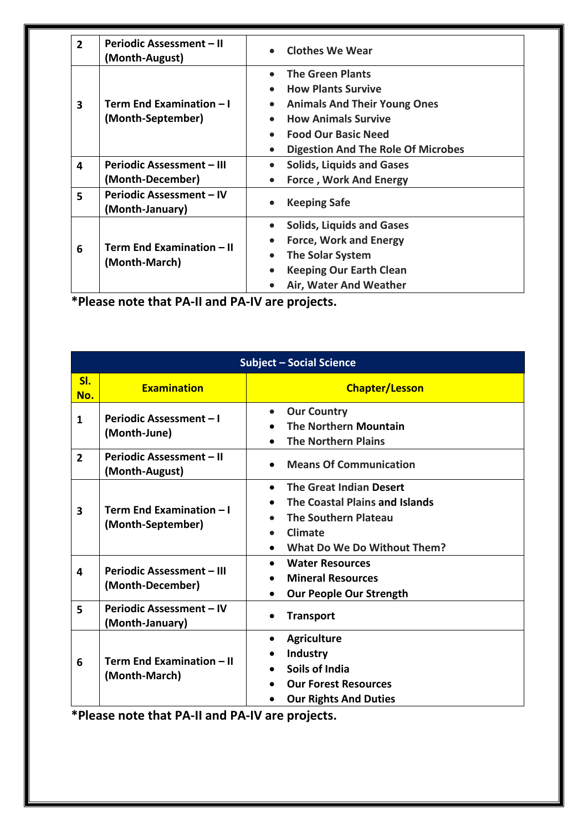| $\overline{2}$ | <b>Periodic Assessment - II</b><br>(Month-August)    | <b>Clothes We Wear</b>                                                                                                                                                                                                                      |
|----------------|------------------------------------------------------|---------------------------------------------------------------------------------------------------------------------------------------------------------------------------------------------------------------------------------------------|
| 3              | Term End Examination - I<br>(Month-September)        | <b>The Green Plants</b><br><b>How Plants Survive</b><br><b>Animals And Their Young Ones</b><br>$\bullet$<br><b>How Animals Survive</b><br>$\bullet$<br><b>Food Our Basic Need</b><br>$\bullet$<br><b>Digestion And The Role Of Microbes</b> |
| 4              | <b>Periodic Assessment - III</b><br>(Month-December) | <b>Solids, Liquids and Gases</b><br><b>Force, Work And Energy</b><br>$\bullet$                                                                                                                                                              |
| 5              | <b>Periodic Assessment - IV</b><br>(Month-January)   | <b>Keeping Safe</b><br>$\bullet$                                                                                                                                                                                                            |
| 6              | Term End Examination - II<br>(Month-March)           | <b>Solids, Liquids and Gases</b><br>$\bullet$<br><b>Force, Work and Energy</b><br><b>The Solar System</b><br><b>Keeping Our Earth Clean</b><br>$\bullet$<br>Air, Water And Weather                                                          |

**\*Please note that PA-II and PA-IV are projects.**

| <b>Subject - Social Science</b> |                                                      |                                                                                                                                                        |
|---------------------------------|------------------------------------------------------|--------------------------------------------------------------------------------------------------------------------------------------------------------|
| SI.<br>No.                      | <b>Examination</b>                                   | <b>Chapter/Lesson</b>                                                                                                                                  |
| 1                               | Periodic Assessment - I<br>(Month-June)              | <b>Our Country</b><br>$\bullet$<br><b>The Northern Mountain</b><br><b>The Northern Plains</b>                                                          |
| $\overline{2}$                  | Periodic Assessment - II<br>(Month-August)           | <b>Means Of Communication</b>                                                                                                                          |
| 3                               | Term End Examination - I<br>(Month-September)        | The Great Indian Desert<br>$\bullet$<br>The Coastal Plains and Islands<br><b>The Southern Plateau</b><br>Climate<br><b>What Do We Do Without Them?</b> |
| 4                               | <b>Periodic Assessment - III</b><br>(Month-December) | <b>Water Resources</b><br><b>Mineral Resources</b><br><b>Our People Our Strength</b>                                                                   |
| 5                               | <b>Periodic Assessment - IV</b><br>(Month-January)   | <b>Transport</b>                                                                                                                                       |
| 6                               | Term End Examination - II<br>(Month-March)           | <b>Agriculture</b><br><b>Industry</b><br>Soils of India<br><b>Our Forest Resources</b><br><b>Our Rights And Duties</b>                                 |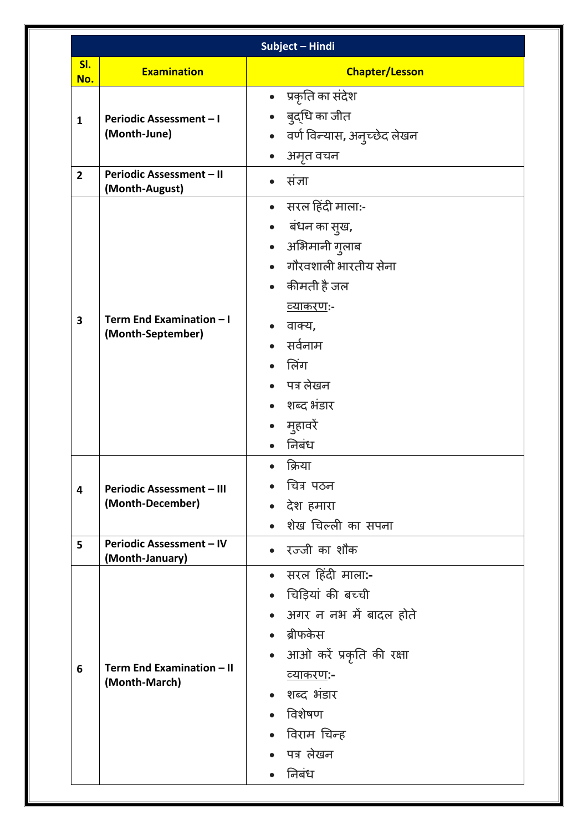|                |                                                      | Subject - Hindi                                                                                                                                                                                                     |
|----------------|------------------------------------------------------|---------------------------------------------------------------------------------------------------------------------------------------------------------------------------------------------------------------------|
| SI.<br>No.     | <b>Examination</b>                                   | <b>Chapter/Lesson</b>                                                                                                                                                                                               |
| 1              | <b>Periodic Assessment - I</b><br>(Month-June)       | • प्रकृति का संदेश<br>• बुद्धि का जीत<br>• वर्ण विन्यास, अनुच्छेद लेखन<br>अमृत वचन<br>$\bullet$                                                                                                                     |
| $\overline{2}$ | Periodic Assessment - II<br>(Month-August)           | संज्ञा                                                                                                                                                                                                              |
| 3              | Term End Examination - I<br>(Month-September)        | सरल हिंदी माला:-<br>$\bullet$<br>• बंधन का सुख,<br>• अभिमानी गुलाब<br>गौरवशाली भारतीय सेना<br>• कीमती है जल<br><u>व्याकरणः-</u><br>वाक्य,<br>सर्वनाम<br>लिंग<br>• पत्र लेखन<br>• शब्द भंडार<br>• मुहावरें<br>निबंध  |
| 4              | <b>Periodic Assessment - III</b><br>(Month-December) | क्रिया<br>चित्र पठन<br>देश हमारा<br>शेख चिल्ली का सपना                                                                                                                                                              |
| 5              | Periodic Assessment - IV<br>(Month-January)          | रज्जी का शौक                                                                                                                                                                                                        |
| 6              | Term End Examination - II<br>(Month-March)           | सरल हिंदी माला:-<br>$\bullet$<br>चिड़ियां की बच्ची<br>अगर न नभ में बादल होते<br>ब्रीफकेस<br>आओ करें प्रकृति की रक्षा<br>$\bullet$<br><u>व्याकरण</u> :-<br>शब्द भंडार<br>विशेषण<br>विराम चिन्ह<br>पत्र लेखन<br>निबंध |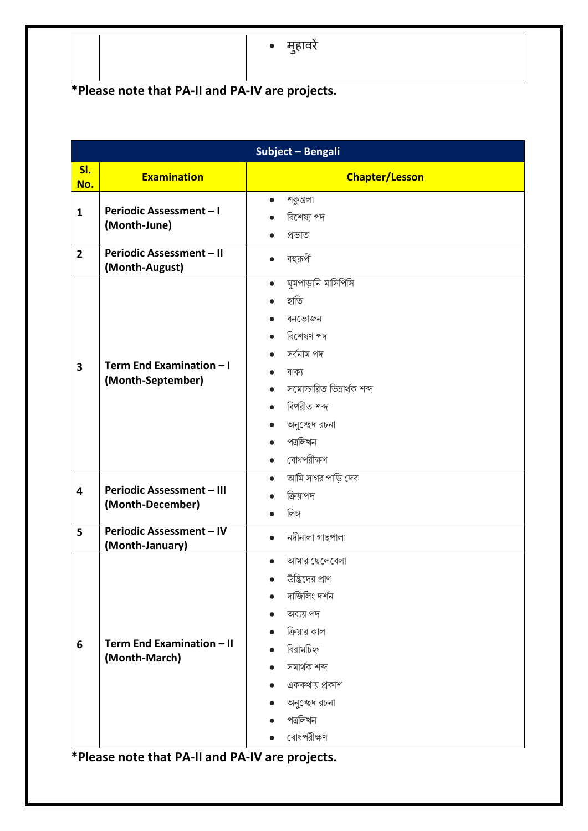• मुहावरें

## **\*Please note that PA-II and PA-IV are projects.**

|                | Subject - Bengali                                    |                                                                                                                                                                                             |  |
|----------------|------------------------------------------------------|---------------------------------------------------------------------------------------------------------------------------------------------------------------------------------------------|--|
| SI.<br>No.     | <b>Examination</b>                                   | <b>Chapter/Lesson</b>                                                                                                                                                                       |  |
| $\mathbf{1}$   | Periodic Assessment-I<br>(Month-June)                | শকুন্তলা<br>$\bullet$<br>বিশেষ্য পদ<br>প্ৰভাত                                                                                                                                               |  |
| $\overline{2}$ | Periodic Assessment - II<br>(Month-August)           | বহুরূপী<br>$\bullet$                                                                                                                                                                        |  |
| 3              | Term End Examination - I<br>(Month-September)        | ঘুমপাড়ানি মাসিপিসি<br>$\bullet$<br>হাতি<br>বনভোজন<br>বিশেষণ পদ<br>সৰ্বনাম পদ<br>বাক্য<br>সমোচ্চারিত ভিন্নার্থক শব্দ<br>বিপরীত শব্দ<br>অনুচ্ছেদ রচনা<br>পত্ৰলিখন<br>বোধপরীক্ষণ<br>$\bullet$ |  |
| 4              | <b>Periodic Assessment - III</b><br>(Month-December) | আমি সাগর পাড়ি দেব<br>$\bullet$<br>ক্ৰিয়াপদ<br>লিঙ্গ                                                                                                                                       |  |
| 5              | <b>Periodic Assessment - IV</b><br>(Month-January)   | নদীনালা গাছপালা                                                                                                                                                                             |  |
| 6              | Term End Examination - II<br>(Month-March)           | আমার ছেলেবেলা<br>উদ্ভিদের প্রাণ<br>দাৰ্জিলিং দৰ্শন<br>অব্যয় পদ<br>ক্রিয়ার কাল<br>বিরামচিহ্ন<br>সমাৰ্থক শব্দ<br>এককথায় প্রকাশ<br>$\bullet$<br>অনুচ্ছেদ রচনা<br>পত্ৰলিখন<br>বোধপরীক্ষণ     |  |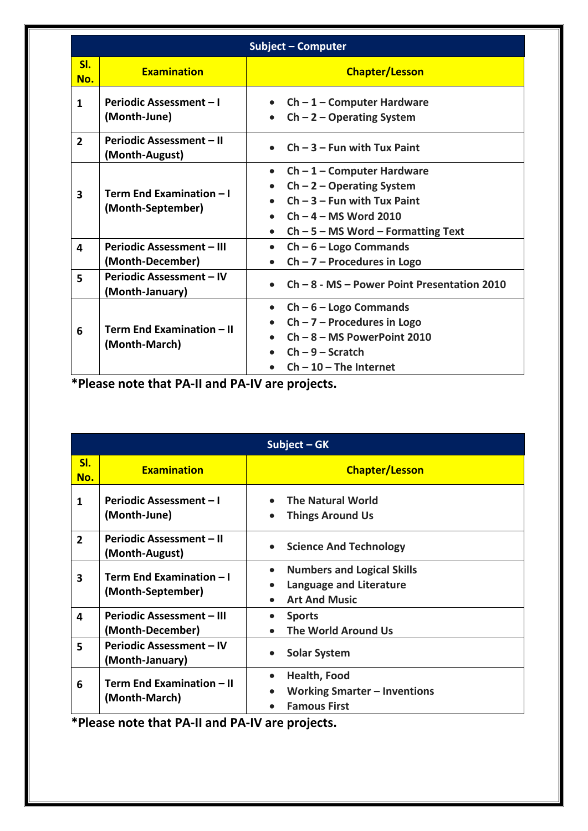| <b>Subject - Computer</b> |                                                      |                                                                                                                                                                                           |
|---------------------------|------------------------------------------------------|-------------------------------------------------------------------------------------------------------------------------------------------------------------------------------------------|
| SI.<br>No.                | <b>Examination</b>                                   | <b>Chapter/Lesson</b>                                                                                                                                                                     |
| 1                         | <b>Periodic Assessment - I</b><br>(Month-June)       | $Ch - 1 - Computer Hardware$<br>$\bullet$<br>$Ch - 2 - Operating System$<br>$\bullet$                                                                                                     |
| $\overline{2}$            | Periodic Assessment - II<br>(Month-August)           | $Ch - 3 - Fun$ with Tux Paint                                                                                                                                                             |
| $\overline{\mathbf{3}}$   | Term End Examination - I<br>(Month-September)        | $Ch - 1 - Computer Hardware$<br>$\bullet$<br>$Ch - 2 - Operating System$<br>$Ch - 3 - Fun$ with Tux Paint<br>$Ch - 4 - MS$ Word 2010<br>$Ch - 5 - MS$ Word – Formatting Text<br>$\bullet$ |
| 4                         | <b>Periodic Assessment - III</b><br>(Month-December) | $Ch - 6 - Logo$ Commands<br>$\bullet$<br>$Ch - 7 -$ Procedures in Logo                                                                                                                    |
| 5                         | Periodic Assessment - IV<br>(Month-January)          | $Ch - 8 - MS - Power Point Presentation 2010$                                                                                                                                             |
| 6                         | Term End Examination - II<br>(Month-March)           | $Ch - 6 - Logo$ Commands<br>$\bullet$<br>$Ch - 7 -$ Procedures in Logo<br>$Ch - 8 - MS PowerPoint 2010$<br>$Ch - 9 -$ Scratch<br>$Ch - 10$ – The Internet                                 |

**\*Please note that PA-II and PA-IV are projects.**

| Subject - GK   |                                                      |                                                                                                                             |
|----------------|------------------------------------------------------|-----------------------------------------------------------------------------------------------------------------------------|
| SI.<br>No.     | <b>Examination</b>                                   | <b>Chapter/Lesson</b>                                                                                                       |
| 1              | <b>Periodic Assessment - I</b><br>(Month-June)       | <b>The Natural World</b><br><b>Things Around Us</b>                                                                         |
| $\overline{2}$ | Periodic Assessment - II<br>(Month-August)           | <b>Science And Technology</b>                                                                                               |
| 3              | Term End Examination - I<br>(Month-September)        | <b>Numbers and Logical Skills</b><br>$\bullet$<br>Language and Literature<br>$\bullet$<br><b>Art And Music</b><br>$\bullet$ |
| 4              | <b>Periodic Assessment - III</b><br>(Month-December) | <b>Sports</b><br><b>The World Around Us</b>                                                                                 |
| 5              | Periodic Assessment - IV<br>(Month-January)          | <b>Solar System</b>                                                                                                         |
| 6              | Term End Examination - II<br>(Month-March)           | Health, Food<br>$\bullet$<br><b>Working Smarter - Inventions</b><br><b>Famous First</b>                                     |